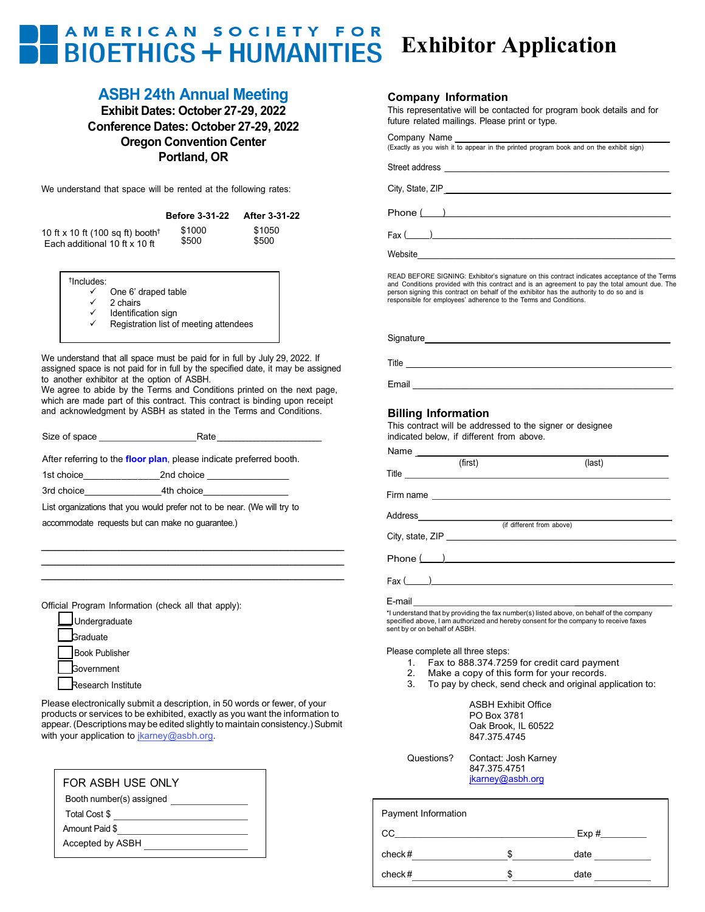## AMERICAN SOCIETY FOR **Exhibitor Application BIOETHICS + HUMANITIES**

# **ASBH 24th Annual Meeting**

**Exhibit Dates: October 27-29, 2022 Conference Dates: October 27-29, 2022 Oregon Convention Center Portland, OR**

We understand that space will be rented at the following rates:

|                                              | <b>Before 3-31-22</b> | After 3-31-22 |
|----------------------------------------------|-----------------------|---------------|
| 10 ft x 10 ft (100 sq ft) booth <sup>†</sup> | \$1000                | \$1050        |
| Each additional 10 ft x 10 ft                | \$500                 | \$500         |

† Includes:

- $\checkmark$  One 6' draped table
	- $\checkmark$  2 chairs
	- Identification sign
	- Registration list of meeting attendees

We understand that all space must be paid for in full by July 29, 2022. If assigned space is not paid for in full by the specified date, it may be assigned to another exhibitor at the option of ASBH.

We agree to abide by the Terms and Conditions printed on the next page, which are made part of this contract. This contract is binding upon receipt and acknowledgment by ASBH as stated in the Terms and Conditions.

Size of space Rate\_\_\_\_\_\_\_\_\_\_\_\_\_\_\_\_\_\_\_\_\_\_\_\_\_\_\_\_

After referring to the **[floor plan](https://www.expocad.com/host/fx/amc/22asbh/exfx.html)**, please indicate preferred booth.

1st choice and 2nd choice

3rd choice\_\_\_\_\_\_\_\_\_\_\_\_\_\_\_4th choice\_\_\_\_\_\_\_\_\_\_\_\_\_\_\_

List organizations that you would prefer not to be near. (We will try to

\_\_\_\_\_\_\_\_\_\_\_\_\_\_\_\_\_\_\_\_\_\_\_\_\_\_\_\_\_\_\_\_\_\_\_\_\_\_\_\_\_\_\_ \_\_\_\_\_\_\_\_\_\_\_\_\_\_\_\_\_\_\_\_\_\_\_\_\_\_\_\_\_\_\_\_\_\_\_\_\_\_\_\_\_\_\_ \_\_\_\_\_\_\_\_\_\_\_\_\_\_\_\_\_\_\_\_\_\_\_\_\_\_\_\_\_\_\_\_\_\_\_\_\_\_\_\_\_\_\_

accommodate requests but can make no guarantee.)

Official Program Information (check all that apply):

|  | Undergraduate |
|--|---------------|
|  |               |

**Sraduate** 

Book Publisher

**Government** 

Research Institute

Please electronically submit a description, in 50 words or fewer, of your products or services to be exhibited, exactly as you want the information to appear. (Descriptions may be edited slightly to maintain consistency.) Submit with your application to [jkarney@asbh.org.](file://amctec.local/clients/ASBH/Conference/2017/Exhibits/Forms/awhitley@connect2amc.com)

| FOR ASBH USE ONLY        |
|--------------------------|
| Booth number(s) assigned |
| Total Cost \$            |
| Amount Paid \$           |
| Accepted by ASBH         |

#### **Company Information**

This representative will be contacted for program book details and for future related mailings. Please print or type.

| Company Name     |                                                                                        |
|------------------|----------------------------------------------------------------------------------------|
|                  | (Exactly as you wish it to appear in the printed program book and on the exhibit sign) |
|                  |                                                                                        |
|                  |                                                                                        |
|                  |                                                                                        |
| City, State, ZIP |                                                                                        |
|                  |                                                                                        |
|                  | Phone( )                                                                               |
|                  |                                                                                        |

Fax (\_\_\_\_\_)\_\_\_\_\_\_\_\_\_\_\_\_\_\_\_\_\_\_\_\_\_\_\_\_\_\_\_\_\_\_\_\_\_\_\_\_\_\_\_\_\_\_\_\_\_\_\_\_\_\_\_\_

Website\_\_\_\_\_\_\_\_\_\_\_\_\_\_\_\_\_\_\_\_\_\_\_\_\_\_\_\_\_\_\_\_\_\_\_\_\_\_\_\_\_\_\_\_\_\_\_\_\_\_\_\_\_\_\_\_

READ BEFORE SIGNING: Exhibitor's signature on this contract indicates acceptance of the Terms and Conditions provided with this contract and is an agreement to pay the total amount due. The person signing this contract on behalf of the exhibitor has the authority to do so and is responsible for employees' adherence to the Terms and Conditions.

| Signature |  |  |
|-----------|--|--|
| Title     |  |  |
| Email     |  |  |

### **Billing Information**

This contract will be addressed to the signer or designee indicated below, if different from above.

|                               | (first)                                                                                                                                                                                                                                                                                                                                   | (last)                                                                                                                                                                           |  |
|-------------------------------|-------------------------------------------------------------------------------------------------------------------------------------------------------------------------------------------------------------------------------------------------------------------------------------------------------------------------------------------|----------------------------------------------------------------------------------------------------------------------------------------------------------------------------------|--|
|                               |                                                                                                                                                                                                                                                                                                                                           |                                                                                                                                                                                  |  |
|                               |                                                                                                                                                                                                                                                                                                                                           | (if different from above)                                                                                                                                                        |  |
|                               |                                                                                                                                                                                                                                                                                                                                           |                                                                                                                                                                                  |  |
|                               |                                                                                                                                                                                                                                                                                                                                           | $Phone(\_)$                                                                                                                                                                      |  |
|                               | $\text{Fax} \left( \begin{array}{ccc} 0 & 0 & 0 \\ 0 & 0 & 0 \\ 0 & 0 & 0 \\ 0 & 0 & 0 \\ 0 & 0 & 0 \\ 0 & 0 & 0 \\ 0 & 0 & 0 \\ 0 & 0 & 0 \\ 0 & 0 & 0 \\ 0 & 0 & 0 \\ 0 & 0 & 0 \\ 0 & 0 & 0 \\ 0 & 0 & 0 \\ 0 & 0 & 0 & 0 \\ 0 & 0 & 0 & 0 \\ 0 & 0 & 0 & 0 \\ 0 & 0 & 0 & 0 & 0 \\ 0 & 0 & 0 & 0 & 0 \\ 0 & 0 & 0 & 0 & 0 \\ 0 & 0 &$ |                                                                                                                                                                                  |  |
| sent by or on behalf of ASBH. | E-mail and the contract of the contract of the contract of the contract of the contract of the contract of the                                                                                                                                                                                                                            | *I understand that by providing the fax number(s) listed above, on behalf of the company<br>specified above, I am authorized and hereby consent for the company to receive faxes |  |

Please complete all three steps:

- 1. Fax to 888.374.7259 for credit card payment
- 2. Make a copy of this form for your records.
- 3. To pay by check, send check and original application to:

ASBH Exhibit Office PO Box 3781 Oak Brook, IL 60522 847.375.4745

| Questions? | Contact: Josh Karney |
|------------|----------------------|
|            | 847.375.4751         |
|            | jkarney@asbh.org     |

| Payment Information |    |      |
|---------------------|----|------|
| CС                  |    | Exp# |
| check #             | S. | date |
| check #             | ß. | date |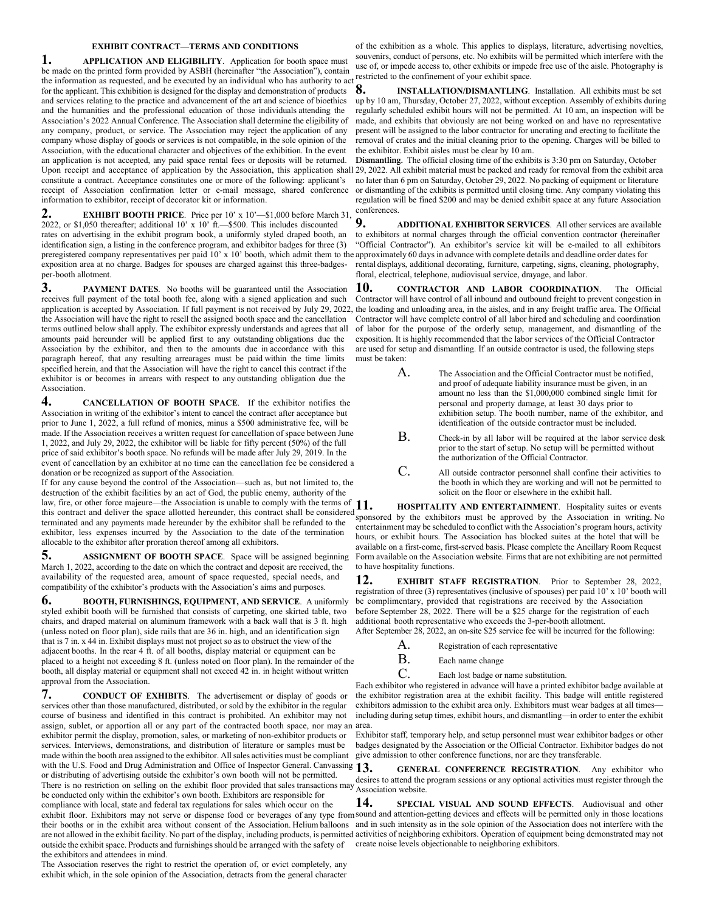#### **EXHIBIT CONTRACT—TERMS AND CONDITIONS**

**1. APPLICATION AND ELIGIBILITY**. Application for booth space must be made on the printed form provided by ASBH (hereinafter "the Association"), contain the information as requested, and be executed by an individual who has authority to act confinement of your exhibit space. for the applicant. This exhibition is designed for the display and demonstration of products and services relating to the practice and advancement of the art and science of bioethics and the humanities and the professional education of those individuals attending the Association's 2022 Annual Conference. The Association shall determine the eligibility of any company, product, or service. The Association may reject the application of any company whose display of goods or services is not compatible, in the sole opinion of the Association, with the educational character and objectives of the exhibition. In the event an application is not accepted, any paid space rental fees or deposits will be returned. Upon receipt and acceptance of application by the Association, this application shall 29, 2022. All exhibit material must be packed and ready for removal from the exhibit area constitute a contract. Acceptance constitutes one or more of the following: applicant's receipt of Association confirmation letter or e-mail message, shared conference or dismantling of the exhibits is permitted until closing time. Any company violating this information to exhibitor, receipt of decorator kit or information.

**2. EXHIBIT BOOTH PRICE**. Price per 10' x 10'-\$1,000 before March 31, 2022, or \$1,050 thereafter; additional 10' x 10' ft.—\$500. This includes discounted rates on advertising in the exhibit program book, a uniformly styled draped booth, an identification sign, a listing in the conference program, and exhibitor badges for three (3) preregistered company representatives per paid 10' x 10' booth, which admit them to the approximately 60 days in advance with complete details and deadline order dates for exposition area at no charge. Badges for spouses are charged against this three-badgesper-booth allotment.

**3. PAYMENT DATES**. No booths will be guaranteed until the Association receives full payment of the total booth fee, along with a signed application and such application is accepted by Association. If full payment is not received by July 29, 2022, the loading and unloading area, in the aisles, and in any freight traffic area. The Official the Association will have the right to resell the assigned booth space and the cancellation terms outlined below shall apply. The exhibitor expressly understands and agrees that all amounts paid hereunder will be applied first to any outstanding obligations due the Association by the exhibitor, and then to the amounts due in accordance with this paragraph hereof, that any resulting arrearages must be paid within the time limits specified herein, and that the Association will have the right to cancel this contract if the exhibitor is or becomes in arrears with respect to any outstanding obligation due the **Association** 

**4. CANCELLATION OF BOOTH SPACE**. If the exhibitor notifies the Association in writing of the exhibitor's intent to cancel the contract after acceptance but prior to June 1, 2022, a full refund of monies, minus a \$500 administrative fee, will be made. If the Association receives a written request for cancellation of space between June 1, 2022, and July 29, 2022, the exhibitor will be liable for fifty percent (50%) of the full price of said exhibitor's booth space. No refunds will be made after July 29, 2019. In the event of cancellation by an exhibitor at no time can the cancellation fee be considered a donation or be recognized as support of the Association.

If for any cause beyond the control of the Association—such as, but not limited to, the destruction of the exhibit facilities by an act of God, the public enemy, authority of the law, fire, or other force majeure—the Association is unable to comply with the terms of 11. this contract and deliver the space allotted hereunder, this contract shall be considered terminated and any payments made hereunder by the exhibitor shall be refunded to the exhibitor, less expenses incurred by the Association to the date of the termination allocable to the exhibitor after proration thereof among all exhibitors.

**5. ASSIGNMENT OF BOOTH SPACE**. Space will be assigned beginning March 1, 2022, according to the date on which the contract and deposit are received, the availability of the requested area, amount of space requested, special needs, and compatibility of the exhibitor's products with the Association's aims and purposes.

**6. BOOTH, FURNISHINGS, EQUIPMENT, AND SERVICE**. A uniformly styled exhibit booth will be furnished that consists of carpeting, one skirted table, two chairs, and draped material on aluminum framework with a back wall that is 3 ft. high (unless noted on floor plan), side rails that are 36 in. high, and an identification sign that is 7 in. x 44 in. Exhibit displays must not project so as to obstruct the view of the adjacent booths. In the rear 4 ft. of all booths, display material or equipment can be placed to a height not exceeding 8 ft. (unless noted on floor plan). In the remainder of the booth, all display material or equipment shall not exceed 42 in. in height without written approval from the Association.

**7. CONDUCT OF EXHIBITS**. The advertisement or display of goods or services other than those manufactured, distributed, or sold by the exhibitor in the regular course of business and identified in this contract is prohibited. An exhibitor may not assign, sublet, or apportion all or any part of the contracted booth space, nor may an area. exhibitor permit the display, promotion, sales, or marketing of non-exhibitor products or services. Interviews, demonstrations, and distribution of literature or samples must be made within the booth area assigned to the exhibitor. All sales activities must be compliant with the U.S. Food and Drug Administration and Office of Inspector General. Canvassing 13. or distributing of advertising outside the exhibitor's own booth will not be permitted. There is no restriction on selling on the exhibit floor provided that sales transactions may Association website. be conducted only within the exhibitor's own booth. Exhibitors are responsible for compliance with local, state and federal tax regulations for sales which occur on the

the exhibitors and attendees in mind. The Association reserves the right to restrict the operation of, or evict completely, any exhibit which, in the sole opinion of the Association, detracts from the general character

of the exhibition as a whole. This applies to displays, literature, advertising novelties, souvenirs, conduct of persons, etc. No exhibits will be permitted which interfere with the use of, or impede access to, other exhibits or impede free use of the aisle. Photography is

**8. INSTALLATION/DISMANTLING**. Installation. All exhibits must be set up by 10 am, Thursday, October 27, 2022, without exception. Assembly of exhibits during regularly scheduled exhibit hours will not be permitted. At 10 am, an inspection will be made, and exhibits that obviously are not being worked on and have no representative present will be assigned to the labor contractor for uncrating and erecting to facilitate the removal of crates and the initial cleaning prior to the opening. Charges will be billed to the exhibitor. Exhibit aisles must be clear by 10 am.

**Dismantling.** The official closing time of the exhibits is 3:30 pm on Saturday, October no later than 6 pm on Saturday, October 29, 2022. No packing of equipment or literature regulation will be fined \$200 and may be denied exhibit space at any future Association conferences.

**9. ADDITIONAL EXHIBITOR SERVICES**. All other services are available to exhibitors at normal charges through the official convention contractor (hereinafter "Official Contractor"). An exhibitor's service kit will be e-mailed to all exhibitors rental displays, additional decorating, furniture, carpeting, signs, cleaning, photography, floral, electrical, telephone, audiovisual service, drayage, and labor.

**10. CONTRACTOR AND LABOR COORDINATION**. The Official Contractor will have control of all inbound and outbound freight to prevent congestion in Contractor will have complete control of all labor hired and scheduling and coordination of labor for the purpose of the orderly setup, management, and dismantling of the exposition. It is highly recommended that the labor services of the Official Contractor are used for setup and dismantling. If an outside contractor is used, the following steps must be taken:

| A <sub>1</sub> | The Association and the Official Contractor must be notified.  |
|----------------|----------------------------------------------------------------|
|                | and proof of adequate liability insurance must be given, in an |
|                | amount no less than the \$1,000,000 combined single limit for  |
|                | personal and property damage, at least 30 days prior to        |
|                | exhibition setup. The booth number, name of the exhibitor, and |
|                | identification of the outside contractor must be included.     |

- B. Check-in by all labor will be required at the labor service desk prior to the start of setup. No setup will be permitted without the authorization of the Official Contractor.
- C. All outside contractor personnel shall confine their activities to the booth in which they are working and will not be permitted to solicit on the floor or elsewhere in the exhibit hall.

**11. HOSPITALITY AND ENTERTAINMENT**. Hospitality suites or events sponsored by the exhibitors must be approved by the Association in writing. No entertainment may be scheduled to conflict with the Association's program hours, activity hours, or exhibit hours. The Association has blocked suites at the hotel that will be available on a first-come, first-served basis. Please complete the Ancillary Room Request Form available on the Association website. Firms that are not exhibiting are not permitted to have hospitality functions.

**12. EXHIBIT STAFF REGISTRATION**. Prior to September <sup>2</sup>8, 2022, registration of three (3) representatives (inclusive of spouses) per paid 10' x 10' booth will be complimentary, provided that registrations are received by the Association before September 28, 2022. There will be a \$25 charge for the registration of each additional booth representative who exceeds the 3-per-booth allotment.

After September 28, 2022, an on-site \$25 service fee will be incurred for the following:

- A. Registration of each representative
- B. Each name change
- C. Each lost badge or name substitution.

Each exhibitor who registered in advance will have a printed exhibitor badge available at the exhibitor registration area at the exhibit facility. This badge will entitle registered exhibitors admission to the exhibit area only. Exhibitors must wear badges at all times including during setup times, exhibit hours, and dismantling—in order to enter the exhibit

Exhibitor staff, temporary help, and setup personnel must wear exhibitor badges or other badges designated by the Association or the Official Contractor. Exhibitor badges do not give admission to other conference functions, nor are they transferable.

**13. GENERAL CONFERENCE REGISTRATION**. Any exhibitor who desires to attend the program sessions or any optional activities must register through the

exhibit floor. Exhibitors may not serve or dispense food or beverages of any type from sound and attention-getting devices and effects will be permitted only in those locations their booths or in the exhibit area without consent of the Association. Helium balloons and in such intensity as in the sole opinion of the Association does not interfere with the are not allowed in the exhibit facility. No part of the display, including products, is permitted activities of neighboring exhibitors. Operation of equipment being demonstrated may not outside the exhibit space. Products and furnishings should be arranged with the safety of create noise levels objectionable to neighboring exhibitors.**14. SPECIAL VISUAL AND SOUND EFFECTS**. Audiovisual and other